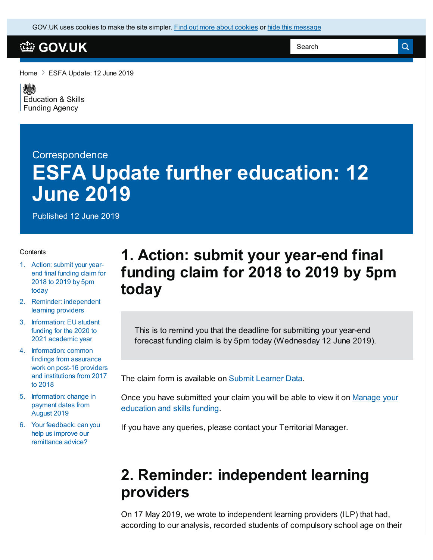GOV.UK uses [cookies](https://www.gov.uk/help/cookies) to make the site simpler. Find out more about cookies or hide this message

#### **[GOV.UK](https://www.gov.uk)**

[Home](https://www.gov.uk/)  $\geq$  ESFA [Update:](https://www.gov.uk/government/publications/esfa-update-12-june-2019) 12 June 2019

嫁 [Education](https://www.gov.uk/government/organisations/education-and-skills-funding-agency) & Skills Funding Agency

# **Correspondence ESFA Update further education: 12 June 2019**

Published 12 June 2019

#### **Contents**

- 1. Action: submit your yearend final [funding](#page-0-0) claim for 2018 to 2019 by 5pm today
- 2. Reminder: [independent](#page-0-1) learning providers
- 3. [Information:](#page-1-0) EU student funding for the 2020 to 2021 academic year
- 4. [Information:](#page-1-1) common findings from assurance work on post-16 providers and institutions from 2017 to 2018
- 5. [Information:](#page-2-0) change in payment dates from August 2019
- 6. Your [feedback:](#page-2-1) can you help us improve our remittance advice?

### <span id="page-0-0"></span>**1. Action: submit your year-end final funding claim for 2018 to 2019 by 5pm today**

This is to remind you that the deadline for submitting your year-end forecast funding claim is by 5pm today (Wednesday 12 June 2019).

The claim form is available on Submit [Learner](https://submitlearnerdatabeta.fasst.org.uk/) Data.

Once you have [submitted](https://skillsfunding.service.gov.uk/) your claim you will be able to view it on Manage your education and skills funding.

If you have any queries, please contact your Territorial Manager.

#### <span id="page-0-1"></span>**2. Reminder: independent learning providers**

On 17 May 2019, we wrote to independent learning providers (ILP) that had, according to our analysis, recorded students of compulsory school age on their

Search

 $\alpha$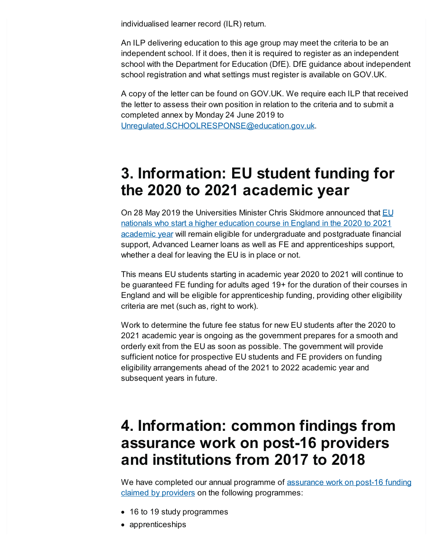individualised learner record (ILR) return.

An ILP delivering education to this age group may meet the criteria to be an independent school. If it does, then it is required to register as an independent school with the Department for Education (DfE). DfE guidance about independent school registration and what settings must register is available on GOV.UK.

A copy of the letter can be found on GOV.UK. We require each ILP that received the letter to assess their own position in relation to the criteria and to submit a completed annex by Monday 24 June 2019 to [Unregulated.SCHOOLRESPONSE@education.gov.uk](mailto:Unregulated.SCHOOLRESPONSE@education.gov.uk).

### <span id="page-1-0"></span>**3. Information: EU student funding for the 2020 to 2021 academic year**

On 28 May 2019 the Universities Minister Chris Skidmore announced that **EU** nationals who start a higher education course in England in the 2020 to 2021 academic year will remain eligible for [undergraduate](https://www.gov.uk/government/news/eu-student-funding-continued-for-202021) and postgraduate financial support, Advanced Learner loans as well as FE and apprenticeships support, whether a deal for leaving the EU is in place or not.

This means EU students starting in academic year 2020 to 2021 will continue to be guaranteed FE funding for adults aged 19+ for the duration of their courses in England and will be eligible for apprenticeship funding, providing other eligibility criteria are met (such as, right to work).

Work to determine the future fee status for new EU students after the 2020 to 2021 academic year is ongoing as the government prepares for a smooth and orderly exit from the EU as soon as possible. The government will provide sufficient notice for prospective EU students and FE providers on funding eligibility arrangements ahead of the 2021 to 2022 academic year and subsequent years in future.

### <span id="page-1-1"></span>**4. Information: common findings from assurance work on post-16 providers and institutions from 2017 to 2018**

We have completed our annual programme of assurance work on post-16 funding claimed by providers on the following [programmes:](https://www.gov.uk/government/publications/esfa-assurance-work-on-post-16-funding)

- 16 to 19 study programmes
- apprenticeships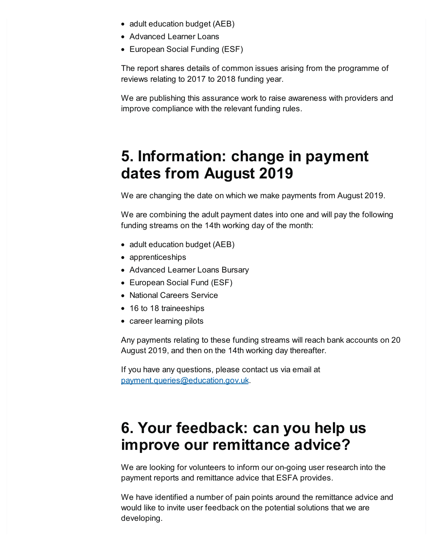- adult education budget (AEB)
- Advanced Learner Loans
- European Social Funding (ESF)

The report shares details of common issues arising from the programme of reviews relating to 2017 to 2018 funding year.

We are publishing this assurance work to raise awareness with providers and improve compliance with the relevant funding rules.

## <span id="page-2-0"></span>**5. Information: change in payment dates from August 2019**

We are changing the date on which we make payments from August 2019.

We are combining the adult payment dates into one and will pay the following funding streams on the 14th working day of the month:

- adult education budget (AEB)
- apprenticeships
- Advanced Learner Loans Bursary
- European Social Fund (ESF)
- National Careers Service
- 16 to 18 traineeships
- career learning pilots

Any payments relating to these funding streams will reach bank accounts on 20 August 2019, and then on the 14th working day thereafter.

If you have any questions, please contact us via email at [payment.queries@education.gov.uk](mailto:payment.queries@education.gov.uk).

## <span id="page-2-1"></span>**6. Your feedback: can you help us improve our remittance advice?**

We are looking for volunteers to inform our on-going user research into the payment reports and remittance advice that ESFA provides.

We have identified a number of pain points around the remittance advice and would like to invite user feedback on the potential solutions that we are developing.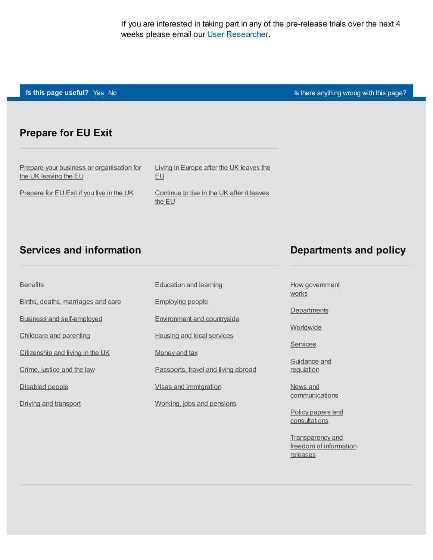If you are interested in taking part in any of the pre-release trials over the next 4 weeks please email our User [Researcher](mailto:jody.burley@education.gov.uk).

**Is this page useful?** [Yes](https://www.gov.uk/contact/govuk) [No](https://www.gov.uk/contact/govuk) Is the Table 1 and Table 1 and Table 1 and Table 1 and Table 1 and Table 1 and Table 1 and Table 1 and Table 1 and Table 1 and Table 1 and Table 1 and Table 1 and Table 1 and Table 1 and Table

#### **Prepare for EU Exit**

Prepare your business or [organisation](https://www.gov.uk/business-uk-leaving-eu) for the UK leaving the EU

Living in [Europe](https://www.gov.uk/uk-nationals-living-eu) after the UK leaves the EU

[Prepare](https://www.gov.uk/prepare-eu-exit) for EU Exit if you live in the UK

[Continue](https://www.gov.uk/staying-uk-eu-citizen) to live in the UK after it leaves the EU

#### **Services and information**

Births, deaths, [marriages](https://www.gov.uk/browse/births-deaths-marriages) and care

Business and [self-employed](https://www.gov.uk/browse/business)

[Citizenship](https://www.gov.uk/browse/citizenship) and living in the UK

[Childcare](https://www.gov.uk/browse/childcare-parenting) and parenting

[Crime,](https://www.gov.uk/browse/justice) justice and the law

[Disabled](https://www.gov.uk/browse/disabilities) people

Driving and [transport](https://www.gov.uk/browse/driving)

**[Benefits](https://www.gov.uk/browse/benefits)** 

#### **Departments and policy**

How [government](https://www.gov.uk/government/how-government-works) works

**[Departments](https://www.gov.uk/government/organisations)** 

**[Worldwide](https://www.gov.uk/world)** 

**[Services](https://www.gov.uk/search/services)** 

[Guidance](https://www.gov.uk/search/guidance-and-regulation) and regulation

News and [communications](https://www.gov.uk/search/news-and-communications)

Policy papers and **[consultations](https://www.gov.uk/search/policy-papers-and-consultations)** 

[Transparency](https://www.gov.uk/search/transparency-and-freedom-of-information-releases) and freedom of information releases

#### [Education](https://www.gov.uk/browse/education) and learning

[Employing](https://www.gov.uk/browse/employing-people) people

[Environment](https://www.gov.uk/browse/environment-countryside) and countryside

Housing and local [services](https://www.gov.uk/browse/housing-local-services)

[Money](https://www.gov.uk/browse/tax) and tax

[Passports,](https://www.gov.uk/browse/abroad) travel and living abroad

Visas and [immigration](https://www.gov.uk/browse/visas-immigration)

[Working,](https://www.gov.uk/browse/working) jobs and pensions